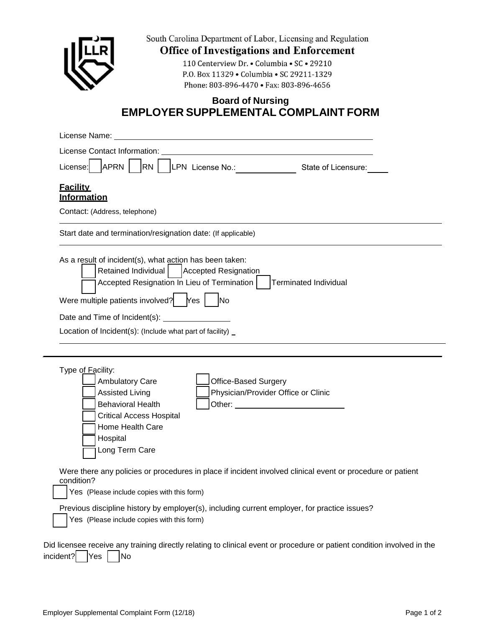

South Carolina Department of Labor, Licensing and Regulation

**Office of Investigations and Enforcement** 

110 Centerview Dr. • Columbia • SC • 29210 P.O. Box 11329 • Columbia • SC 29211‐1329 Phone: 803‐896‐4470 • Fax: 803‐896‐4656

## **Board of Nursing EMPLOYER SUPPLEMENTAL COMPLAINT FORM**

| APRN  <br>RN   LPN License No.:<br>License:                                                                                                                                                                                                                                                                                                                         | State of Licensure: |
|---------------------------------------------------------------------------------------------------------------------------------------------------------------------------------------------------------------------------------------------------------------------------------------------------------------------------------------------------------------------|---------------------|
| <b>Facility</b>                                                                                                                                                                                                                                                                                                                                                     |                     |
| Information                                                                                                                                                                                                                                                                                                                                                         |                     |
| Contact: (Address, telephone)                                                                                                                                                                                                                                                                                                                                       |                     |
| Start date and termination/resignation date: (If applicable)                                                                                                                                                                                                                                                                                                        |                     |
| As a result of incident(s), what action has been taken:<br>Retained Individual<br>Accepted Resignation<br>Accepted Resignation In Lieu of Termination  <br><b>Terminated Individual</b>                                                                                                                                                                             |                     |
| Were multiple patients involved?   Yes  <br><b>No</b>                                                                                                                                                                                                                                                                                                               |                     |
|                                                                                                                                                                                                                                                                                                                                                                     |                     |
| Location of Incident(s): (Include what part of facility) _                                                                                                                                                                                                                                                                                                          |                     |
|                                                                                                                                                                                                                                                                                                                                                                     |                     |
| Type of Facility:<br>Ambulatory Care<br><b>Office-Based Surgery</b><br>Physician/Provider Office or Clinic<br><b>Assisted Living</b><br><b>Behavioral Health</b><br><b>Critical Access Hospital</b><br>Home Health Care<br>Hospital<br>Long Term Care<br>Were there any policies or procedures in place if incident involved clinical event or procedure or patient |                     |
| condition?<br>Yes (Please include copies with this form)                                                                                                                                                                                                                                                                                                            |                     |
| Previous discipline history by employer(s), including current employer, for practice issues?<br>Yes (Please include copies with this form)                                                                                                                                                                                                                          |                     |
| Did licensee receive any training directly relating to clinical event or procedure or patient condition involved in the<br>incident?<br>Yes<br>No                                                                                                                                                                                                                   |                     |